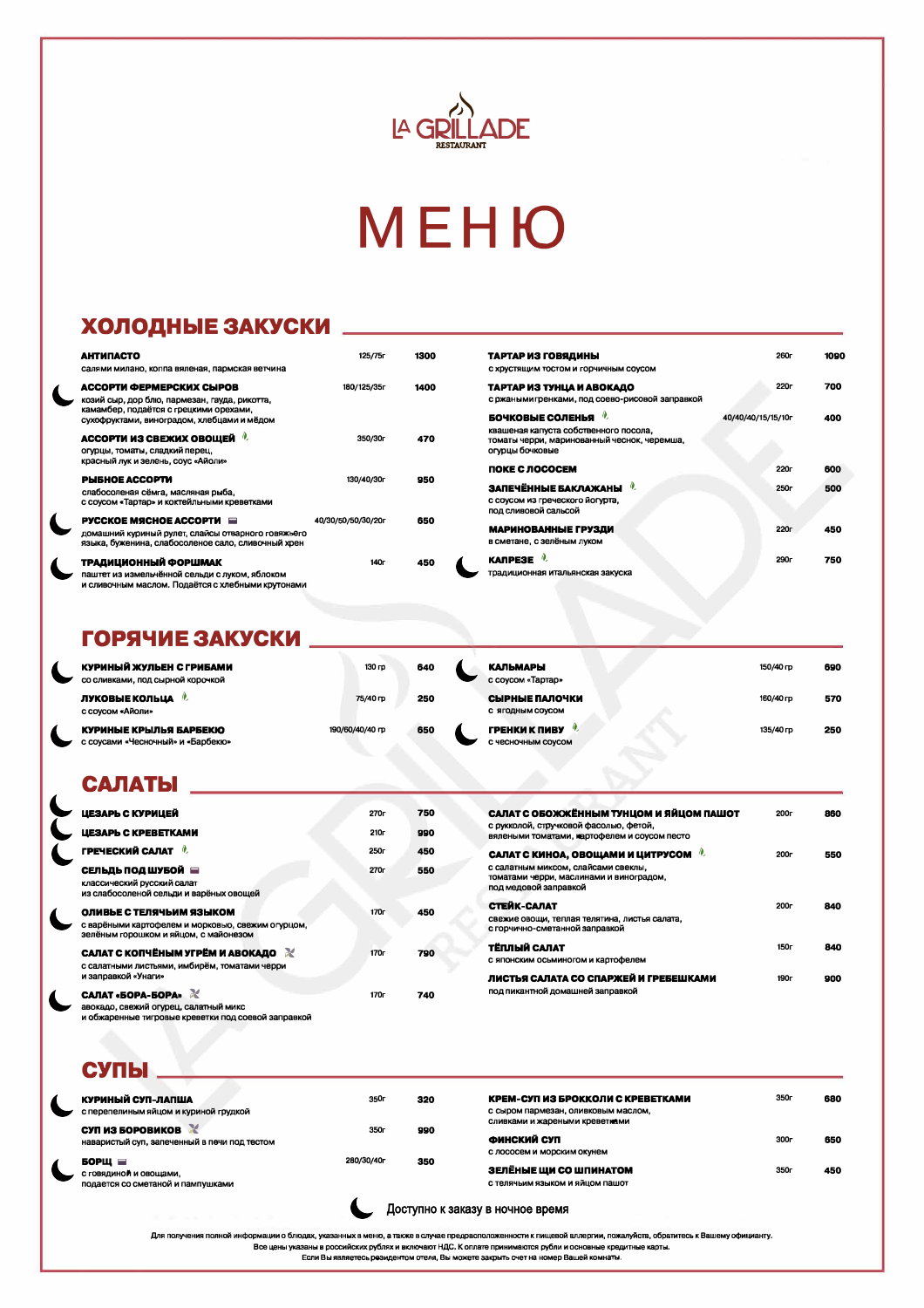

# MEHIO

### ХОЛОДНЫЕ ЗАКУСКИ Династратические

| <b>АНТИПАСТО</b><br>салями милано, коппа вяленая, пармская ветчина                                                                          | 125/75r            | 1300 | ТАРТАР ИЗ ГОВЯДИНЫ<br>С ХРУСТЯЩИМ ТОСТОМ И ГОРЧИЧНЫМ СОУСОМ                                             | 260 <sub>r</sub>   | 1090 |
|---------------------------------------------------------------------------------------------------------------------------------------------|--------------------|------|---------------------------------------------------------------------------------------------------------|--------------------|------|
| АССОРТИ ФЕРМЕРСКИХ СЫРОВ<br>козий сыр, дор блю, пармезан, гауда, рикотта,                                                                   | 180/125/35r        | 1400 | ТАРТАР ИЗ ТУНЦА И АВОКАДО<br>с ржаными гренками, под соево-рисовой заправкой                            | <b>220r</b>        | 700  |
| камамбер, подаётся с грецкими орехами,<br>сухофруктами, виноградом, хлебцами и мёдом                                                        |                    |      | БОЧКОВЫЕ СОЛЕНЬЯ                                                                                        | 40/40/40/15/15/10r | 400  |
| АССОРТИ ИЗ СВЕЖИХ ОВОЩЕЙ <sup>0</sup><br>огурцы, томаты, сладкий перец,                                                                     | 350/30r            | 470  | квашеная капуста собственного посола,<br>томаты черри, маринованный чеснок, черемша,<br>огурцы бочковые |                    |      |
| красный лук и зелень, соус «Айоли»                                                                                                          |                    |      | ПОКЕ С ЛОСОСЕМ                                                                                          | 220г               | 600  |
| <b>PHEHOE ACCOPTM</b><br>слабосоленая сёмга, масляная рыба,<br>с соусом «Тартар» и коктейльными креветками                                  | 130/40/30г         | 950  | ЗАПЕЧЁННЫЕ БАКЛАЖАНЫ<br>с соусом из греческого йогурта,<br>под сливовой сальсой                         | 250 <sub>1</sub>   | 500  |
| PYCCKOE MЯCHOE ACCOPTИ <b>■</b><br>домашний куриный рулет, слайсы отварного говяжьего<br>языка, буженина, слабосоленое сало, сливочный хрен | 40/30/50/50/30/20r | 650  | МАРИНОВАННЫЕ ГРУЗДИ<br>в сметане, с зелёным луком                                                       | 220г               | 450  |
| ТРАДИЦИОННЫЙ ФОРШМАК<br>паштет из измельчённой сельди с луком, яблоком<br>и сливочным маслом. Подаётся с хлебными крутонами                 | 140г               | 450  | <b>KANPE3E</b><br>традиционная итальянская закуска                                                      | 290г               | 750  |

### ГОРЯЧИЕ ЗАКУСКИ \_\_

| <b>ЛУКОВЫЕ КОЛЬЦА <i>•</i></b><br>с соусом «Айоли»<br>КУРИНЫЕ КРЫЛЬЯ БАРБЕКЮ<br>с соусами «Чесночный» и «Барбекю» | $75/40 \text{ m}$<br>190/60/40/40 гр | 250<br>650 | СЫРНЫЕ ПАЛОЧКИ<br>С ЯГОДНЫМ СОУСОМ<br>ГРЕНКИ К ПИВУ<br>С чесночным соусом | 160/40 гр<br>135/40 гр | 570<br>250 |
|-------------------------------------------------------------------------------------------------------------------|--------------------------------------|------------|---------------------------------------------------------------------------|------------------------|------------|
| КУРИНЫЙ ЖУЛЬЕН С ГРИБАМИ<br>со сливками, под сырной корочкой                                                      | 130 гр                               | 640        | <b>КАЛЬМАРЫ</b><br>с соусом «Тартар»                                      | 150/40 гр              | 690        |

### САЛАТЫ

| ЦЕЗАРЬ С КУРИЦЕЙ                                                                                                       | 270г             | 750 | САЛАТ С ОБОЖЖЁННЫМ ТУНЦОМ И ЯЙЦОМ ПАШОТ                                                                 | 200г             | 860 |
|------------------------------------------------------------------------------------------------------------------------|------------------|-----|---------------------------------------------------------------------------------------------------------|------------------|-----|
| <b>LLESAPL C KPEBETKAMM</b>                                                                                            | 210 <sub>F</sub> | 990 | с рукколой, стручковой фасолью, фетой,<br>вялеными томатами, картофелем и соусом песто                  |                  |     |
| ГРЕЧЕСКИЙ САЛАТ <sup>0</sup>                                                                                           | 250г             | 450 | САЛАТ С КИНОА, ОВОЩАМИ И ЦИТРУСОМ                                                                       | 200 <sub>r</sub> | 550 |
| СЕЛЬДЬ ПОД ШУБОЙ<br>классический русский салат<br>из слабосоленой сельди и варёных овощей                              | 270г             | 550 | с салатным миксом, слайсами свеклы,<br>томатами черри, маслинами и виноградом,<br>под медовой заправкой |                  |     |
| ОЛИВЬЕ С ТЕЛЯЧЬИМ ЯЗЫКОМ<br>с варёными картофелем и морковью, свежим огурцом,<br>зелёным горошком и яйцом, с майонезом | 170 <sub>r</sub> | 450 | СТЕЙК-САЛАТ<br>свежие овощи, теплая телятина, листья салата,<br>с горчично-сметанной заправкой          | 200 <sub>r</sub> | 840 |
| САЛАТ С КОПЧЁНЫМ УГРЁМ И АВОКАДО                                                                                       | <b>170</b>       | 790 | ТЁПЛЫЙ САЛАТ                                                                                            | 150 <sub>r</sub> | 840 |

170г

740

с салатными листьями, имбирём, томатами черри и заправкой «Унаги»

L

 $\blacklozenge$ 

САЛАТ «БОРА-БОРА» авокадо, свежий огурец, салатный микс и обжаренные тигровые креветки под соевой заправкой

| ЛИСТЬЯ САЛАТА СО СПАРЖЕЙ И ГРЕБЕШКАМИ | 190г | 900 |
|---------------------------------------|------|-----|
| под пикантной домашней заправкой      |      |     |

### СУПЫ \_

| КУРИНЫЙ СУП-ЛАПША<br>с перепелиным яйцом и куриной грудкой                         | 350г             | 320 | КРЕМ-СУП ИЗ БРОККОЛИ С КРЕВЕТКАМИ<br>с сыром пармезан, оливковым маслом,                | 350 <sub>r</sub> | 680 |
|------------------------------------------------------------------------------------|------------------|-----|-----------------------------------------------------------------------------------------|------------------|-----|
| СУП ИЗ БОРОВИКОВ<br>наваристый суп, запеченный в печи под тестом                   | 350 <sub>r</sub> | 990 | сливками и жареными креветиами<br>ФИНСКИЙ СУП                                           | <b>300</b>       | 650 |
| БОРЩ $\blacksquare$<br>с говядиной и овощами,<br>подается со сметаной и пампушками | 280/30/40r       | 350 | с лососем и морским окунем<br>ЗЕЛЁНЫЕ ЩИ СО ШПИНАТОМ<br>с телячьим языком и яйцом пашот | 350r             | 450 |



Для получения полной информации о блюдах, указанных в меню, а также в случае предрасположенности к пищевой аллергии, пожалуйста, обратитесь к Вашему официанту. Все цены указаны в российских рублях и включают НДС. К оплате принимаются рубли и основные кредитные карты. Если Вы являетесь резидентом отеля, Вы можете закрыть счет на номер Вашей комнаты.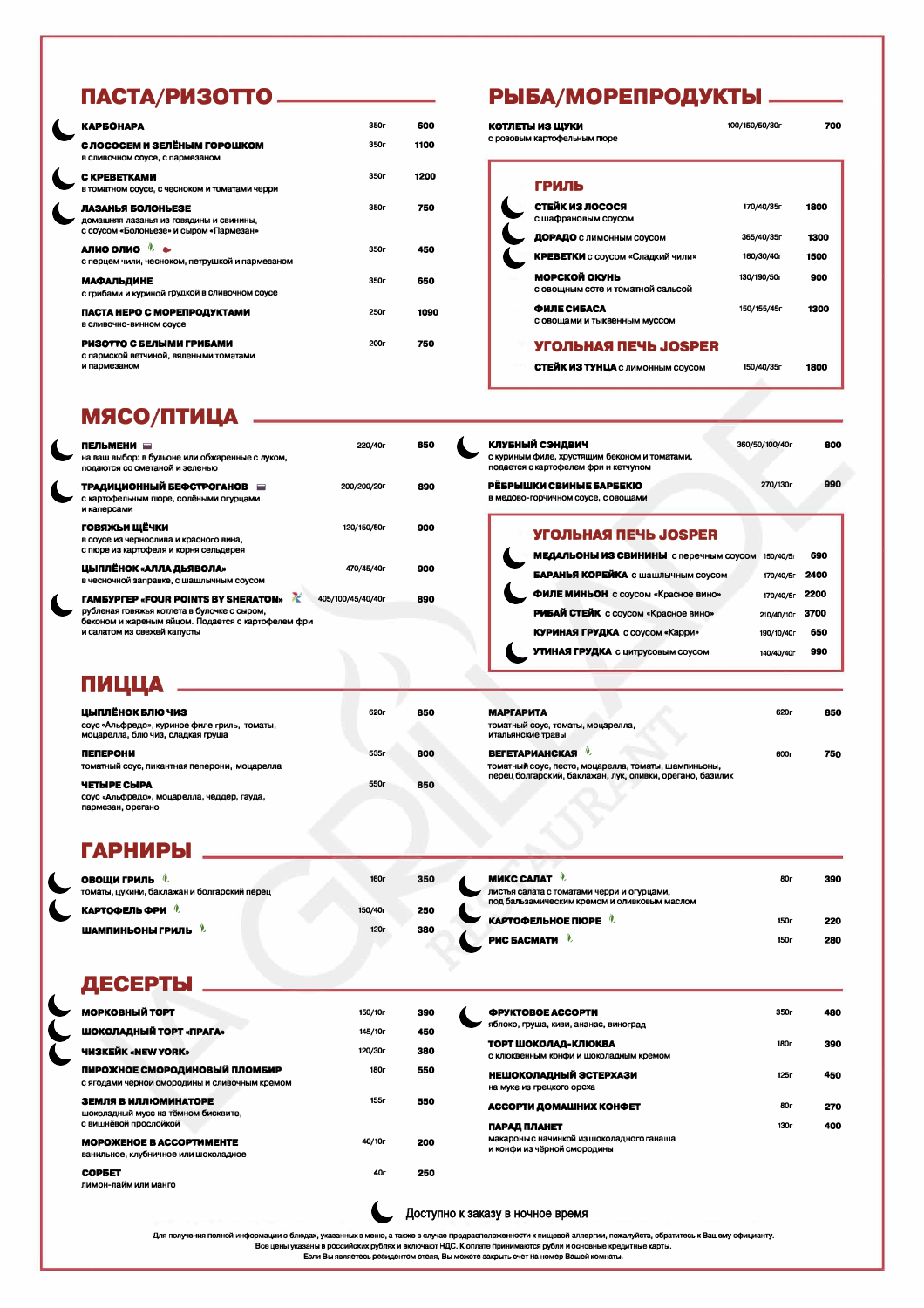# ПАСТА/РИЗОТТО ———————

| <b>КАРБОНАРА</b>                                                                                        | 350r             | 600  |
|---------------------------------------------------------------------------------------------------------|------------------|------|
| С ЛОСОСЕМ И ЗЕЛЁНЫМ ГОРОШКОМ<br>в сливочном соусе, с пармезаном                                         | 350r             | 1100 |
| C KPEBETKAMM<br>в томатном соусе, с чесноком и томатами черри                                           | 350 <sub>r</sub> | 1200 |
| ЛАЗАНЬЯ БОЛОНЬЕЗЕ<br>домашняя лазанья из говядины и свинины,<br>с соусом «Болоньезе» и сыром «Пармезан» | 350r             | 750  |
| АЛИО ОЛИО<br>с перцем чили, чесноком, петрушкой и пармезаном                                            | 350r             | 450  |
| <b>МАФАЛЬДИНЕ</b><br>с грибами и куриной грудкой в сливочном соусе                                      | 350r             | 650  |
| ПАСТА НЕРО С МОРЕПРОДУКТАМИ<br>В СЛИВОЧНО-ВИННОМ СОУСЕ                                                  | 250г             | 1090 |
| РИЗОТТО С БЕЛЫМИ ГРИБАМИ<br>с пармской ветчиной, вялеными томатами<br>и пармезаном                      | 200г             | 750  |

### РЫБА/МОРЕПРОДУКТЫ \_\_\_\_\_

| КОТЛЕТЫ ИЗ ЩУКИ<br>с розовым картофельным пюре     | 100/150/50/30r | 700  |
|----------------------------------------------------|----------------|------|
| ГРИЛЬ                                              |                |      |
| СТЕЙК ИЗ ЛОСОСЯ<br>с шафрановым соусом             | 170/40/35r     | 1800 |
| ДОРАДО с лимонным соусом                           | 365/40/35r     | 1300 |
| <b>КРЕВЕТКИ</b> с соусом «Сладкий чили»            | 160/30/40r     | 1500 |
| МОРСКОЙ ОКУНЬ<br>с овощным соте и томатной сальсой | 130/190/50r    | 900  |
| ФИЛЕ СИБАСА<br>с овощами и тыквенным муссом        | 150/155/45r    | 1300 |
| УГОЛЬНАЯ ПЕЧЬ JOSPER                               |                |      |
| СТЕЙК ИЗ ТУНЦА с лимонным соусом                   | 150/40/35r     | 1800 |

### **МЯСО/ПТИЦА**

| ПЕЛЬМЕНИ —<br>на ваш выбор: в бульоне или обжаренные с луком,<br>подаются со сметаной и зеленью                                                                                            | 220/40r           | 650 |
|--------------------------------------------------------------------------------------------------------------------------------------------------------------------------------------------|-------------------|-----|
| ТРАДИЦИОННЫЙ БЕФСТРОГАНОВ<br>с картофельным пюре, солёными огурцами<br>и каперсами                                                                                                         | 200/200/20r       | 890 |
| ГОВЯЖЬИ ЩЁЧКИ<br>в соусе из чернослива и красного вина,<br>с пюре из картофеля и корня сельдерея                                                                                           | 120/150/50r       | 900 |
| ЦЫПЛЁНОК «АЛЛА ДЬЯВОЛА»<br>в чесночной заправке, с шашлычным соусом                                                                                                                        | 470/45/40r        | 900 |
| <b><i>TAMEYPFEP «FOUR POINTS BY SHERATON»</i></b><br>変<br>рубленая говяжья котлета в булочке с сыром,<br>беконом и жареным яйцом. Подается с картофелем фри<br>и салатом из свежей капусты | 405/100/45/40/40r | 890 |

| КЛУБНЫЙ СЭНДВИЧ<br>с куриным филе, хрустящим беконом и томатами,<br>подается с картофелем фри и кетчупом | 360/50/100/40r | 800 |
|----------------------------------------------------------------------------------------------------------|----------------|-----|
| РЁБРЫШКИ СВИНЫЕ БАРБЕКЮ                                                                                  | 270/130r       | 990 |
| в медово-горчичном соусе, с овощами                                                                      |                |     |

#### **УГОЛЬНАЯ ПЕЧЬ JOSPER**

| МЕДАЛЬОНЫ ИЗ СВИНИНЫ с перечным соусом | 150/40/5r  | 690  |
|----------------------------------------|------------|------|
| БАРАНЬЯ КОРЕЙКА с шашлычным соусом     | 170/40/5r  | 2400 |
| ФИЛЕ МИНЬОН с соусом «Красное вино»    | 170/40/5r  | 2200 |
| РИБАЙ СТЕЙК с соусом «Красное вино»    | 210/40/10r | 3700 |
| <b>КУРИНАЯ ГРУДКА</b> с соусом «Карри» | 190/10/40г | 650  |
| УТИНАЯ ГРУДКА с цитрусовым соусом      | 140/40/40r | 990  |

| ------------                                                                                          |      |     |                                                                                                                   |                  |     |
|-------------------------------------------------------------------------------------------------------|------|-----|-------------------------------------------------------------------------------------------------------------------|------------------|-----|
| ЦЫПЛЁНОК БЛЮ ЧИЗ<br>соус «Альфредо», куриное филе гриль, томаты,<br>моцарелла, блю чиз, сладкая груша | 620r | 850 | <b>МАРГАРИТА</b><br>томатный соус, томаты, моцарелла,<br>итальянские травы                                        | 620 <sub>r</sub> | 850 |
| <b>ПЕПЕРОНИ</b>                                                                                       | 535r | 800 | <b>ВЕГЕТАРИАНСКАЯ</b>                                                                                             | <b>600г</b>      | 750 |
| томатный соус, пикантная пеперони, моцарелла                                                          |      |     | томатный соус, песто, моцарелла, томаты, шампиньоны,<br>перец болгарский, баклажан, лук, оливки, орегано, базилик |                  |     |
| <b>ЧЕТЫРЕ СЫРА</b>                                                                                    | 550r | 850 |                                                                                                                   |                  |     |
| соус «Альфредо», моцарелла, чеддер, гауда,<br>DRIGGAL DREAMO                                          |      |     |                                                                                                                   |                  |     |

### ГАРНИРЫ ..

ПИЦЦА

| <b>ОВОЩИ ГРИЛЬ</b> &<br>томаты, цукини, баклажан и болгарский перец | 160г                | 350 |  |
|---------------------------------------------------------------------|---------------------|-----|--|
| <b>КАРТОФЕЛЬФРИ</b> •                                               | 150/40 <sub>r</sub> | 250 |  |
| ШАМПИНЬОНЫ ГРИЛЬ <sup>(1)</sup>                                     | 120 <sub>r</sub>    | 380 |  |
|                                                                     |                     |     |  |

| <b>МИКС САЛАТ</b>                                                                          | 80г  | 390 |
|--------------------------------------------------------------------------------------------|------|-----|
| листья салата с томатами черри и огурцами,<br>под бальзамическим кремом и оливковым маслом |      |     |
| <b>КАРТОФЕЛЬНОЕ ПЮРЕ 4.</b>                                                                | 150г | 220 |
| <b>PHC GACMATH</b>                                                                         | 150г | 280 |

### ДЕСЕРТЫ

| МОРКОВНЫЙ ТОРТ                                | 150/10r            | 390 |  |
|-----------------------------------------------|--------------------|-----|--|
| ШОКОЛАДНЫЙ ТОРТ «ПРАГА»                       | 145/10r            | 450 |  |
| <b>ЧИЗКЕЙК «NEW YORK»</b>                     | 120/30r            | 380 |  |
| ПИРОЖНОЕ СМОРОДИНОВЫЙ ПЛОМБИР                 | 180г               | 550 |  |
| с ягодами чёрной смородины и сливочным кремом |                    |     |  |
| ЗЕМЛЯ В ИЛЛЮМИНАТОРЕ                          | 155г               | 550 |  |
| шоколадный мусс на тёмном бисквите,           |                    |     |  |
| с вишнёвой прослойкой                         |                    |     |  |
| <b>MOPOXEHOE B ACCOPTHMEHTE</b>               | 40/10 <sub>r</sub> | 200 |  |
| ванильное, клубничное или шоколадное          |                    |     |  |
| СОРБЕТ                                        | 40г                | 250 |  |

лимон-лайм или манго

| <b>ФРУКТОВОЕ АССОРТИ</b>                  | 350 <sub>r</sub> | 480 |
|-------------------------------------------|------------------|-----|
| яблоко, груша, киви, ананас, виноград     |                  |     |
| ТОРТ ШОКОЛАД-КЛЮКВА                       | 180г             | 390 |
| с клюквенным конфи и шоколадным кремом    |                  |     |
| НЕШОКОЛАДНЫЙ ЭСТЕРХАЗИ                    | 125r             | 450 |
| на муке из грецкого ореха                 |                  |     |
| АССОРТИ ДОМАШНИХ КОНФЕТ                   | 80 <sub>r</sub>  | 270 |
| ПАРАД ПЛАНЕТ                              | 130 <sub>r</sub> | 400 |
| макароны с начинкой из шоколадного ганаша |                  |     |
| и конфи из чёрной смородины               |                  |     |



Для получения полной информации о блюдах, указанных в меню, а также в случае предрасположенности к пищевой аллергии, пожалуйста, обратитесь к Вашему официанту.

Все цены указаны в российских рублях и включают НДС. К оплате принимаются рубли и основные кредитные карты.

Если Вы являетесь резидентом отеля, Вы можете закрыть счет на номер Вашей комнаты.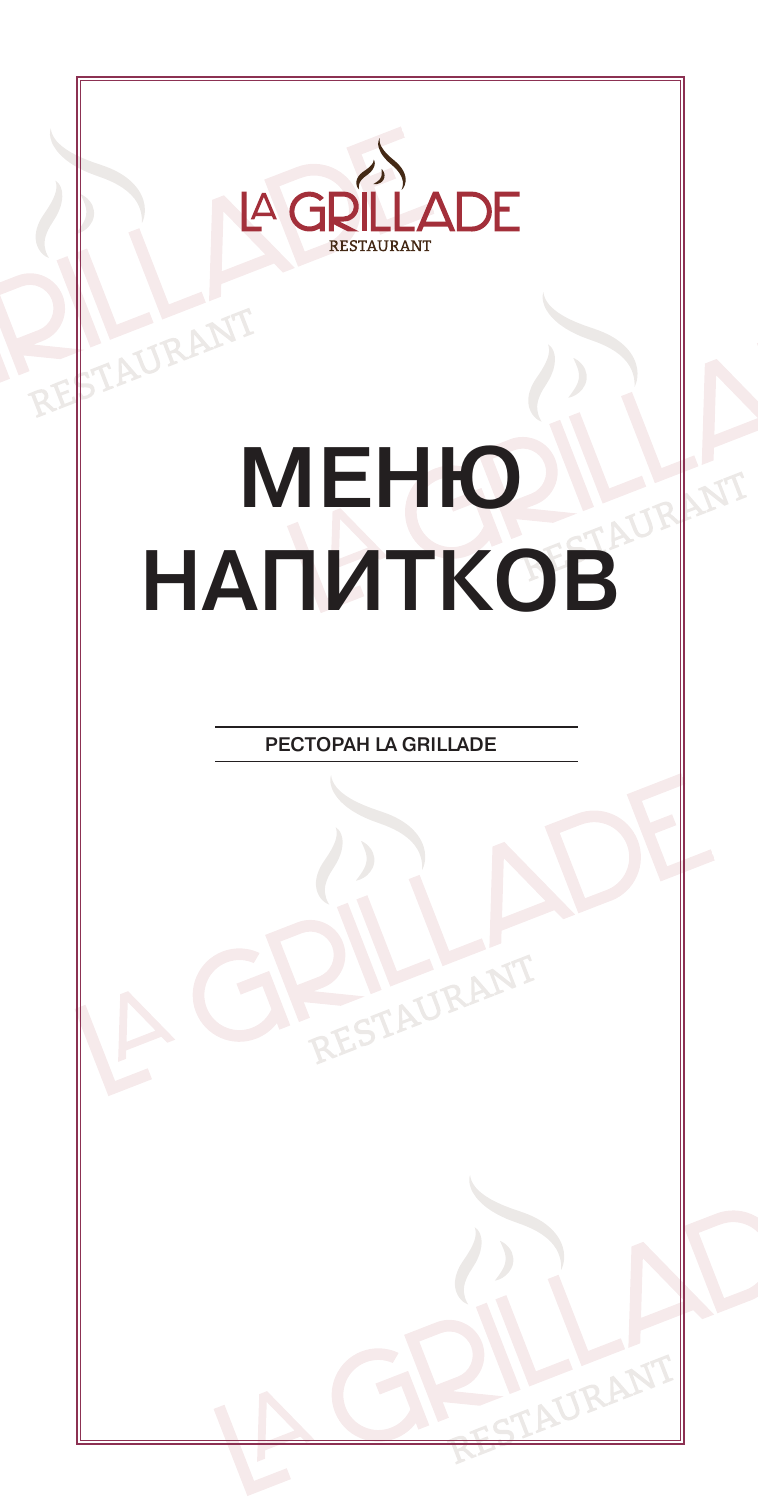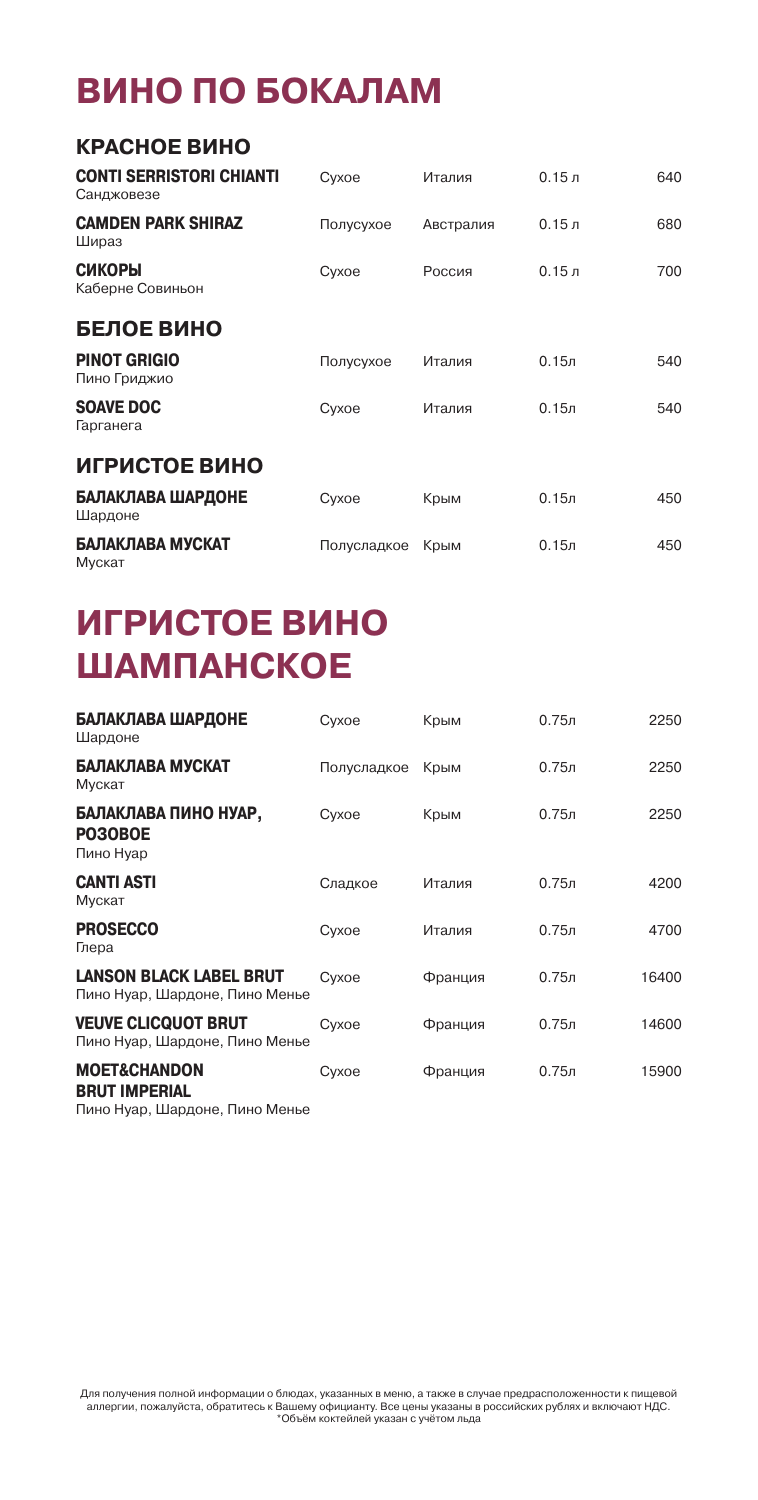# **ВИНО ПО БОКАЛАМ**

| КРАСНОЕ ВИНО                                  |             |           |                   |     |
|-----------------------------------------------|-------------|-----------|-------------------|-----|
| <b>CONTI SERRISTORI CHIANTI</b><br>Санджовезе | Cyxoe       | Италия    | 0.15 <sub>π</sub> | 640 |
| <b>CAMDEN PARK SHIRAZ</b><br>Шираз            | Полусухое   | Австралия | 0.15 <sub>J</sub> | 680 |
| <b>СИКОРЫ</b><br>Каберне Совиньон             | Cyxoe       | Россия    | 0.15 <sub>π</sub> | 700 |
| БЕЛОЕ ВИНО                                    |             |           |                   |     |
| <b>PINOT GRIGIO</b><br>Пино Гриджио           | Полусухое   | Италия    | 0.15 <sub>π</sub> | 540 |
| <b>SOAVE DOC</b><br>Гарганега                 | Cyxoe       | Италия    | 0.15 <sub>π</sub> | 540 |
| ИГРИСТОЕ ВИНО                                 |             |           |                   |     |
| БАЛАКЛАВА ШАРДОНЕ<br>Шардоне                  | Cyxoe       | Крым      | 0.15 <sub>π</sub> | 450 |
| БАЛАКЛАВА МУСКАТ<br>Мускат                    | Полусладкое | Крым      | 0.15 <sub>π</sub> | 450 |

# **ИГРИСТОЕ ВИНО ШАМПАНСКОЕ**

| БАЛАКЛАВА ШАРДОНЕ<br>Шардоне                                                      | Cyxoe       | Крым    | 0.75 <sub>π</sub> | 2250  |
|-----------------------------------------------------------------------------------|-------------|---------|-------------------|-------|
| БАЛАКЛАВА МУСКАТ<br>Мускат                                                        | Полусладкое | Крым    | 0.75 <sub>π</sub> | 2250  |
| БАЛАКЛАВА ПИНО НУАР,<br>PO30BOE<br>Пино Нуар                                      | Cyxoe       | Крым    | 0.75 <sub>π</sub> | 2250  |
| <b>CANTI ASTI</b><br>Мускат                                                       | Сладкое     | Италия  | 0.75 <sub>π</sub> | 4200  |
| <b>PROSECCO</b><br>Глера                                                          | Cyxoe       | Италия  | 0.75 <sub>π</sub> | 4700  |
| <b>LANSON BLACK LABEL BRUT</b><br>Пино Нуар, Шардоне, Пино Менье                  | Cyxoe       | Франция | 0.75 <sub>π</sub> | 16400 |
| <b>VEUVE CLICQUOT BRUT</b><br>Пино Нуар, Шардоне, Пино Менье                      | Cyxoe       | Франция | 0.75 <sub>π</sub> | 14600 |
| <b>MOET&amp;CHANDON</b><br><b>BRUT IMPERIAL</b><br>Пино Нуар, Шардоне, Пино Менье | Cyxoe       | Франция | 0.75 <sub>π</sub> | 15900 |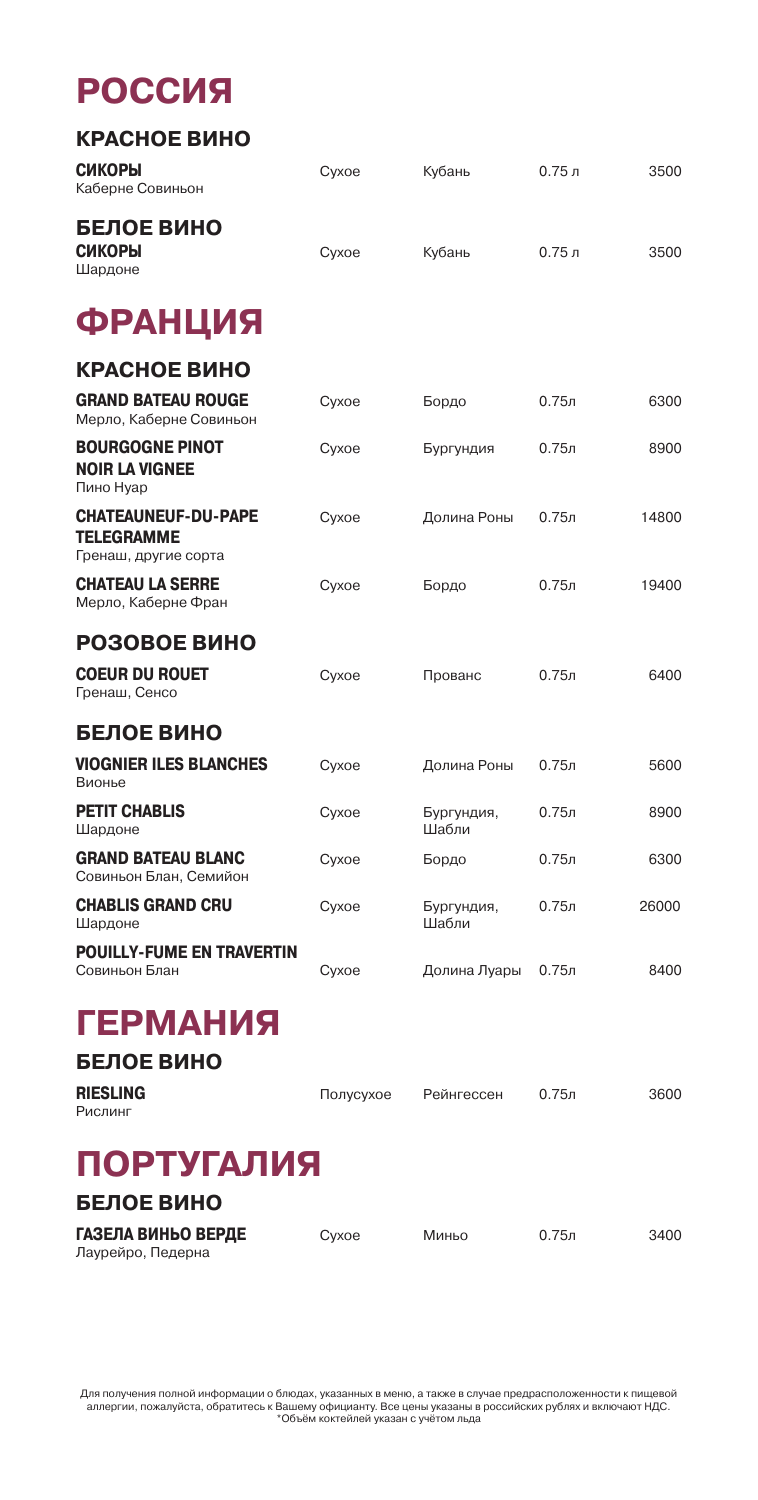### **РОССИЯ**

| КРАСНОЕ ВИНО                                                            |       |                      |                   |       |
|-------------------------------------------------------------------------|-------|----------------------|-------------------|-------|
| СИКОРЫ<br>Каберне Совиньон                                              | Сухое | Кубань               | 0.75J             | 3500  |
| <b>БЕЛОЕ ВИНО</b><br><b>СИКОРЫ</b><br>Шардоне                           | Сухое | Кубань               | 0.75J             | 3500  |
| <b>ФРАНЦИЯ</b>                                                          |       |                      |                   |       |
| КРАСНОЕ ВИНО                                                            |       |                      |                   |       |
| <b>GRAND BATEAU ROUGE</b><br>Мерло, Каберне Совиньон                    | Cyxoe | Бордо                | 0.75л             | 6300  |
| <b>BOURGOGNE PINOT</b><br><b>NOIR LA VIGNEE</b><br>Пино Нуар            | Cyxoe | Бургундия            | 0.75л             | 8900  |
| <b>CHATEAUNEUF-DU-PAPE</b><br><b>TELEGRAMME</b><br>Гренаш, другие сорта | Сухое | Долина Роны          | 0.75 <sub>π</sub> | 14800 |
| <b>CHATEAU LA SERRE</b><br>Мерло, Каберне Фран                          | Cyxoe | Бордо                | 0.75л             | 19400 |
| РОЗОВОЕ ВИНО                                                            |       |                      |                   |       |
| <b>COEUR DU ROUET</b><br>Гренаш, Сенсо                                  | Cyxoe | Прованс              | 0.75л             | 6400  |
| <b>БЕЛОЕ ВИНО</b>                                                       |       |                      |                   |       |
| <b>VIOGNIER ILES BLANCHES</b><br>Вионье                                 | Сухое | Долина Роны          | 0.75л             | 5600  |
| <b>PETIT CHABLIS</b><br>Шардоне                                         | Cyxoe | Бургундия,<br>Шабли  | 0.75 <sub>π</sub> | 8900  |
| <b>GRAND BATEAU BLANC</b><br>Совиньон Блан, Семийон                     | Cyxoe | Бордо                | 0.75 <sub>π</sub> | 6300  |
| <b>CHABLIS GRAND CRU</b><br>Шардоне                                     | Cyxoe | Бургундия,<br>Шабли  | 0.75 <sub>π</sub> | 26000 |
| <b>POUILLY-FUME EN TRAVERTIN</b><br>Совиньон Блан                       | Сухое | Долина Луары 0.75л   |                   | 8400  |
| <b>ГЕРМАНИЯ</b>                                                         |       |                      |                   |       |
| <b>БЕЛОЕ ВИНО</b>                                                       |       |                      |                   |       |
| <b>RIESLING</b><br>Рислинг                                              |       | Полусухое Рейнгессен | $0.75$ л          | 3600  |
| ПОРТУГА ПИО                                                             |       |                      |                   |       |

### **ПОРТУГАЛИЯ**

| БЕЛОЕ ВИНО                              |       |       |                   |      |
|-----------------------------------------|-------|-------|-------------------|------|
| ГАЗЕЛА ВИНЬО ВЕРДЕ<br>Лаурейро, Педерна | Cyxoe | Миньо | 0.75 <sub>π</sub> | 3400 |

Для получения полной информации о блюдах, указанных в меню, а также в случае предрасположенности к пищевой<br>аллергии, пожалуйста, обратитесь к Вашему официанту. Все цены указаны в российских рублях и включают НДС.<br>Мобей мо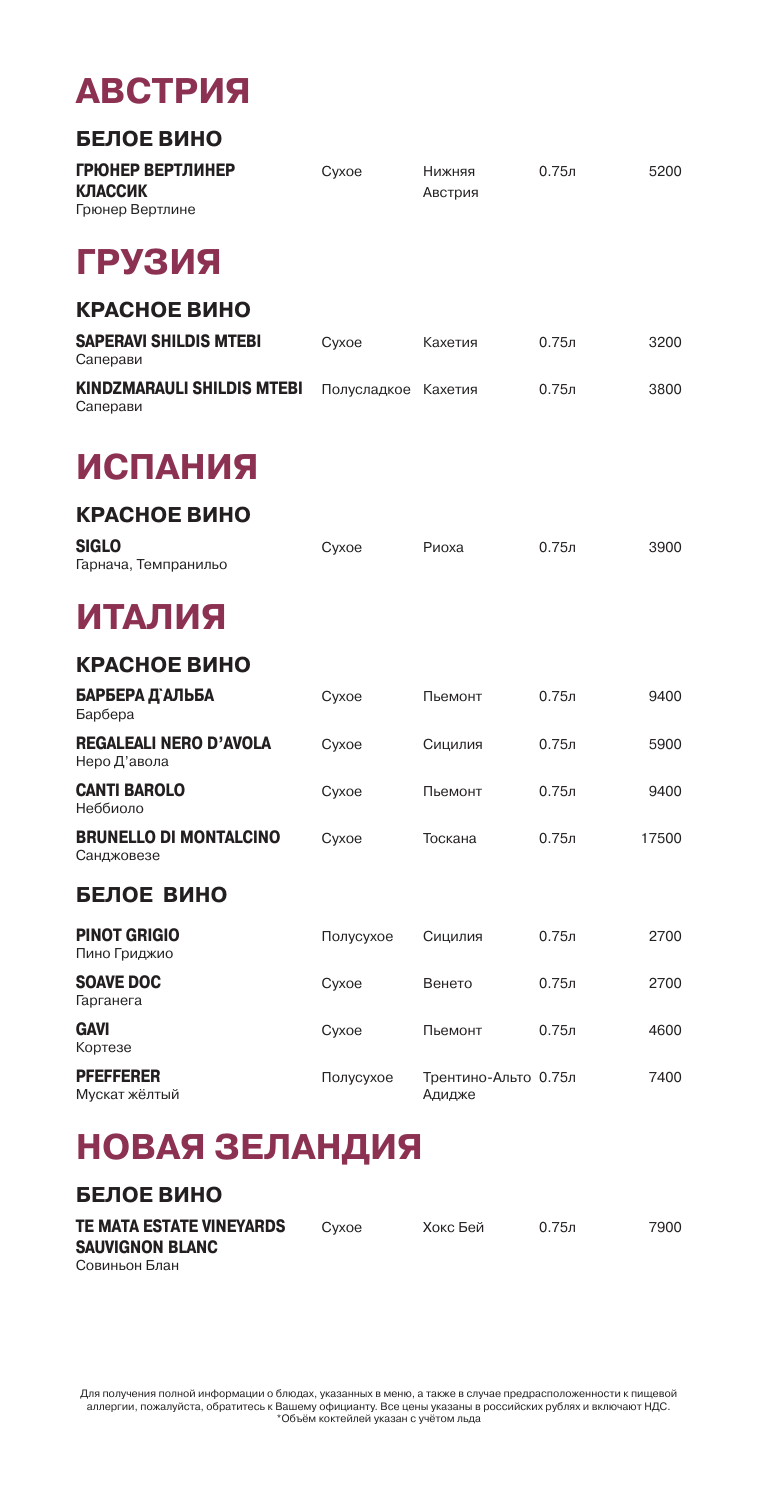### **АВСТРИЯ**

| <b>БЕЛОЕ ВИНО</b>                                     |             |                                |                   |       |
|-------------------------------------------------------|-------------|--------------------------------|-------------------|-------|
| ГРЮНЕР ВЕРТЛИНЕР<br><b>КЛАССИК</b><br>Грюнер Вертлине | Cyxoe       | Нижняя<br>Австрия              | 0.75 <sub>π</sub> | 5200  |
| ГРУЗИЯ                                                |             |                                |                   |       |
| КРАСНОЕ ВИНО                                          |             |                                |                   |       |
| <b>SAPERAVI SHILDIS MTEBI</b><br>Саперави             | Cyxoe       | Кахетия                        | 0.75 <sub>π</sub> | 3200  |
| <b>KINDZMARAULI SHILDIS MTEBI</b><br>Саперави         | Полусладкое | Кахетия                        | $0.75$ л          | 3800  |
| <b>ИСПАНИЯ</b>                                        |             |                                |                   |       |
| КРАСНОЕ ВИНО                                          |             |                                |                   |       |
| <b>SIGLO</b><br>Гарнача, Темпранильо                  | Cyxoe       | Риоха                          | $0.75$ л          | 3900  |
| ИТАЛИЯ                                                |             |                                |                   |       |
| КРАСНОЕ ВИНО                                          |             |                                |                   |       |
| БАРБЕРА Д`АЛЬБА<br>Барбера                            | Cyxoe       | Пьемонт                        | 0.75 <sub>π</sub> | 9400  |
| <b>REGALEALI NERO D'AVOLA</b><br>Неро Д'авола         | Cyxoe       | Сицилия                        | $0.75$ л          | 5900  |
| <b>CANTI BAROLO</b><br>Неббиоло                       | Cyxoe       | Пьемонт                        | 0.75 <sub>π</sub> | 9400  |
| <b>BRUNELLO DI MONTALCINO</b><br>Санджовезе           | Cyxoe       | Тоскана                        | $0.75$ л          | 17500 |
| <b>БЕЛОЕ ВИНО</b>                                     |             |                                |                   |       |
| <b>PINOT GRIGIO</b><br>Пино Гриджио                   | Полусухое   | Сицилия                        | 0.75 <sub>π</sub> | 2700  |
| <b>SOAVE DOC</b><br>Гарганега                         | Cyxoe       | Венето                         | 0.75 <sub>π</sub> | 2700  |
| <b>GAVI</b><br>Кортезе                                | Cyxoe       | Пьемонт                        | 0.75 <sub>π</sub> | 4600  |
| <b>PFEFFERER</b><br>Мускат жёлтый                     | Полусухое   | Трентино-Альто 0.75л<br>Адидже |                   | 7400  |

### **НОВАЯ ЗЕЛАНДИЯ**

#### **БЕЛОЕ ВИНО**

| TE MATA ESTATE VINEYARDS | Cyxoe | Хокс Бей | 0.75n | 7900 |
|--------------------------|-------|----------|-------|------|
| <b>SAUVIGNON BLANC</b>   |       |          |       |      |
| Совиньон Блан            |       |          |       |      |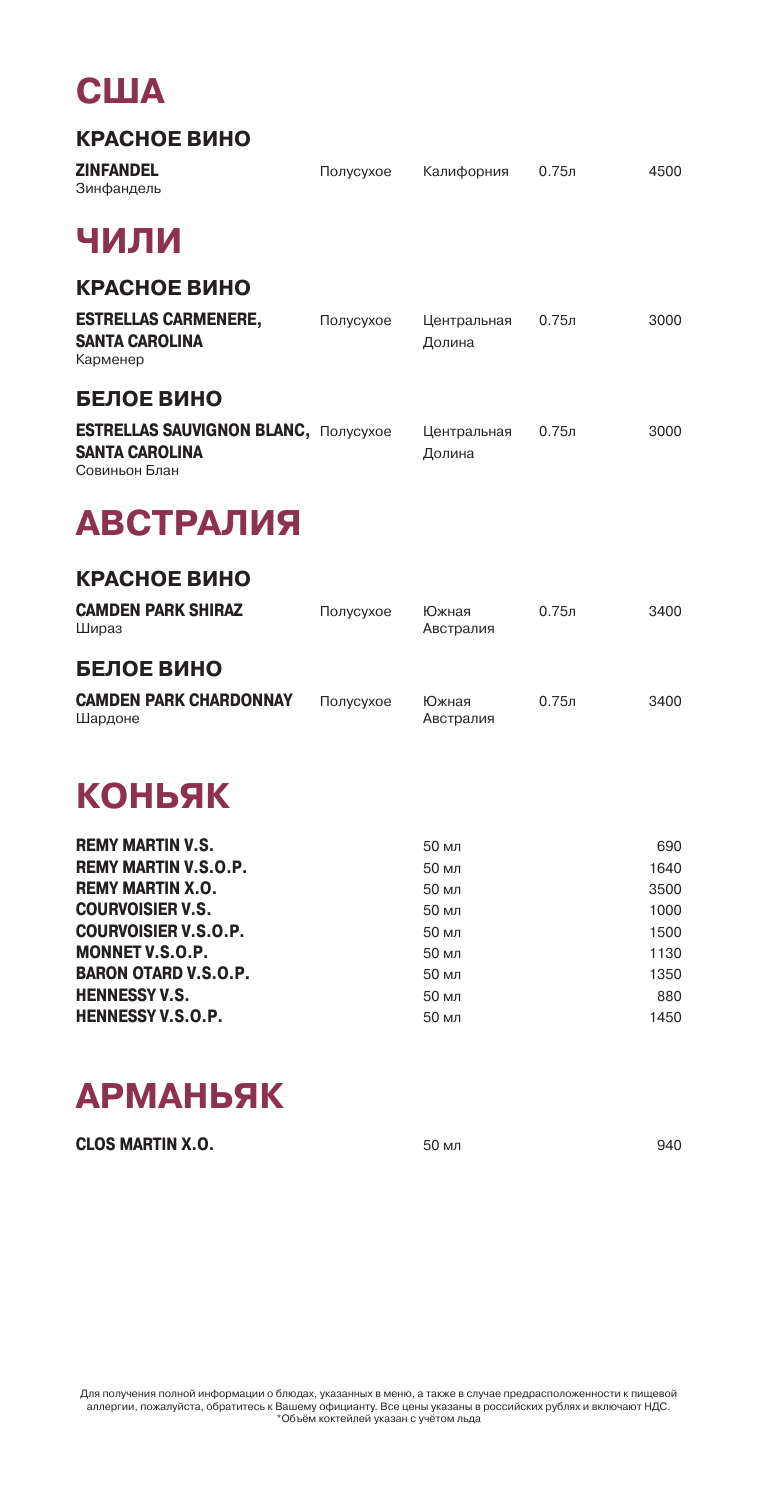### **США**

#### **КРАСНОЕ ВИНО**

| <b>ZINFANDEL</b><br>Зинфандель                                                        | Полусухое | Калифорния            | $0.75$ л          | 4500 |
|---------------------------------------------------------------------------------------|-----------|-----------------------|-------------------|------|
| ЧИЛИ                                                                                  |           |                       |                   |      |
| КРАСНОЕ ВИНО                                                                          |           |                       |                   |      |
| <b>ESTRELLAS CARMENERE,</b><br><b>SANTA CAROLINA</b><br>Карменер                      | Полусухое | Центральная<br>Долина | 0.75 <sub>π</sub> | 3000 |
| БЕЛОЕ ВИНО                                                                            |           |                       |                   |      |
| <b>ESTRELLAS SAUVIGNON BLANC, Полусухое</b><br><b>SANTA CAROLINA</b><br>Совиньон Блан |           | Центральная<br>Долина | 0.75 <sub>π</sub> | 3000 |
| <b>АВСТРАЛИЯ</b>                                                                      |           |                       |                   |      |
| КРАСНОЕ ВИНО                                                                          |           |                       |                   |      |
| <b>CAMDEN PARK SHIRAZ</b><br>Шираз                                                    | Полусухое | Южная<br>Австралия    | 0.75n             | 3400 |
| <b>БЕЛОЕ ВИНО</b>                                                                     |           |                       |                   |      |
| <b>CAMDEN PARK CHARDONNAY</b><br>Шардоне                                              | Полусухое | Южная<br>Австралия    | 0.75 <sub>π</sub> | 3400 |
| КОНЬЯК                                                                                |           |                       |                   |      |
| <b>REMY MARTIN V.S.</b>                                                               |           | 50 мл                 |                   | 690  |

| <b>REMY MARTIN V.S.O.P.</b> | 50 мл | 1640 |
|-----------------------------|-------|------|
| <b>REMY MARTIN X.O.</b>     | 50 мл | 3500 |
| <b>COURVOISIER V.S.</b>     | 50 мл | 1000 |
| <b>COURVOISIER V.S.O.P.</b> | 50 мл | 1500 |
| <b>MONNET V.S.O.P.</b>      | 50 мл | 1130 |
| <b>BARON OTARD V.S.O.P.</b> | 50 мл | 1350 |
| <b>HENNESSY V.S.</b>        | 50 мл | 880  |
| <b>HENNESSY V.S.O.P.</b>    | 50 мл | 1450 |

### **АРМАНЬЯК**

| <b>CLOS MARTIN X.O.</b> | 50 мл | 940 |
|-------------------------|-------|-----|
|                         |       |     |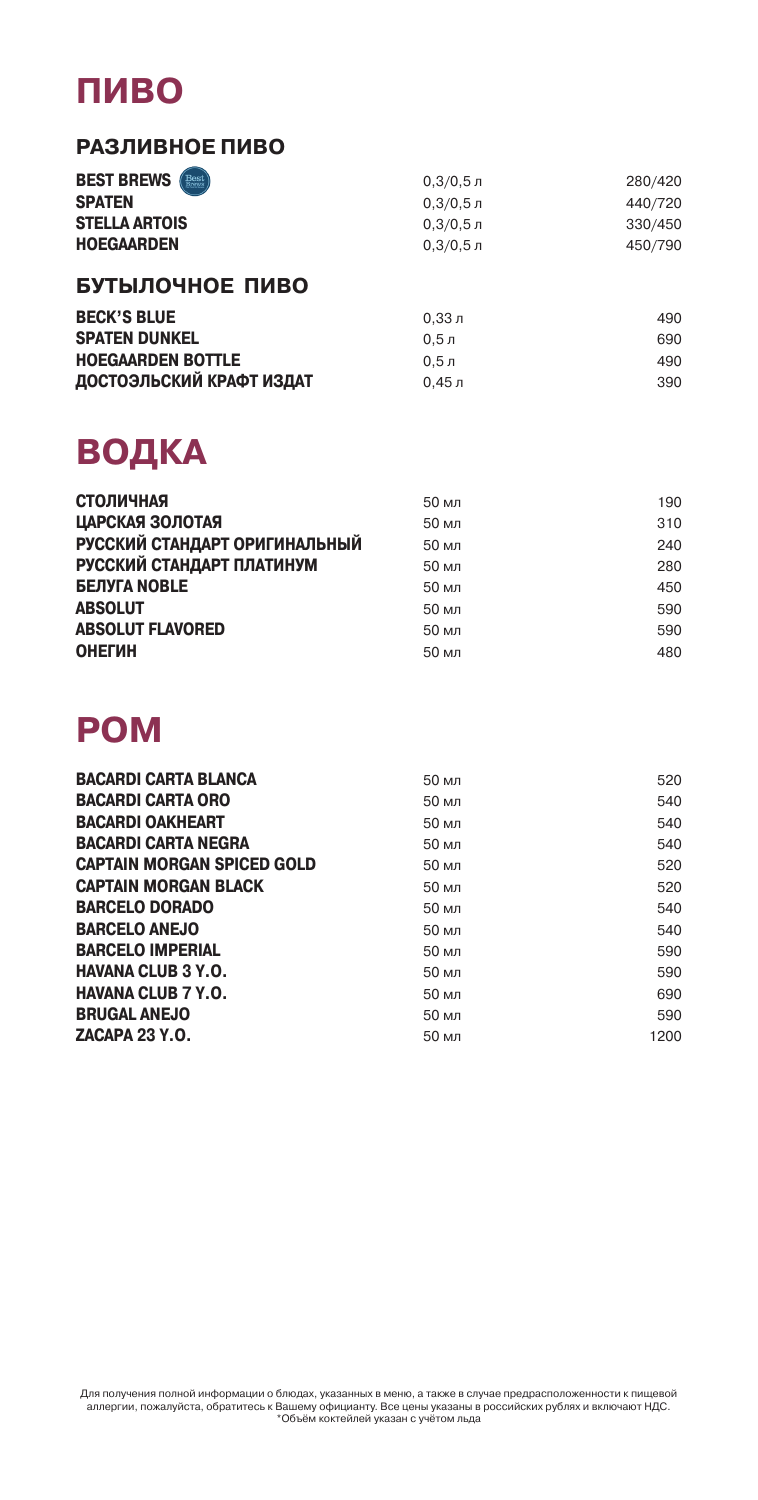### **ПИВО**

#### **РАЗЛИВНОЕ ПИВО**

| <b>BEST BREWS (Best)</b> | $0.3/0.5$ л | 280/420 |
|--------------------------|-------------|---------|
| <b>SPATEN</b>            | $0.3/0.5$ л | 440/720 |
| <b>STELLA ARTOIS</b>     | $0.3/0.5$ л | 330/450 |
| <b>HOEGAARDEN</b>        | $0.3/0.5$ л | 450/790 |

#### **БУТЫЛОЧНОЕ ПИВО**

| <b>BECK'S BLUE</b>       | 0.33 J      | 490 |
|--------------------------|-------------|-----|
| <b>SPATEN DUNKEL</b>     | $0.5 \,\pi$ | 690 |
| <b>HOEGAARDEN BOTTLE</b> | 0.5n        | 490 |
| ДОСТОЭЛЬСКИЙ КРАФТ ИЗДАТ | 0.45 л      | 390 |

### **ВОДКА**

| <b>СТОЛИЧНАЯ</b>              | 50 мл | 190 |
|-------------------------------|-------|-----|
| ЦАРСКАЯ ЗОЛОТАЯ               | 50 мл | 310 |
| РУССКИЙ СТАНДАРТ ОРИГИНАЛЬНЫЙ | 50 мл | 240 |
| РУССКИЙ СТАНДАРТ ПЛАТИНУМ     | 50 мл | 280 |
| <b>БЕЛУГА NOBLE</b>           | 50 мл | 450 |
| <b>ABSOLUT</b>                | 50 мл | 590 |
| <b>ABSOLUT FLAVORED</b>       | 50 мл | 590 |
| <b>ОНЕГИН</b>                 | 50 мл | 480 |

### **РОМ**

| <b>BACARDI CARTA BLANCA</b>       | 50 мл | 520  |
|-----------------------------------|-------|------|
| <b>BACARDI CARTA ORO</b>          | 50 мл | 540  |
| <b>BACARDI OAKHEART</b>           | 50 мл | 540  |
| <b>BACARDI CARTA NEGRA</b>        | 50 мл | 540  |
| <b>CAPTAIN MORGAN SPICED GOLD</b> | 50 мл | 520  |
| <b>CAPTAIN MORGAN BLACK</b>       | 50 мл | 520  |
| <b>BARCELO DORADO</b>             | 50 мл | 540  |
| <b>BARCELO ANEJO</b>              | 50 мл | 540  |
| <b>BARCELO IMPERIAL</b>           | 50 мл | 590  |
| <b>HAVANA CLUB 3 Y.O.</b>         | 50 мл | 590  |
| <b>HAVANA CLUB 7 Y.O.</b>         | 50 мл | 690  |
| <b>BRUGAL ANEJO</b>               | 50 мл | 590  |
| <b>ZACAPA 23 Y.O.</b>             | 50 мл | 1200 |
|                                   |       |      |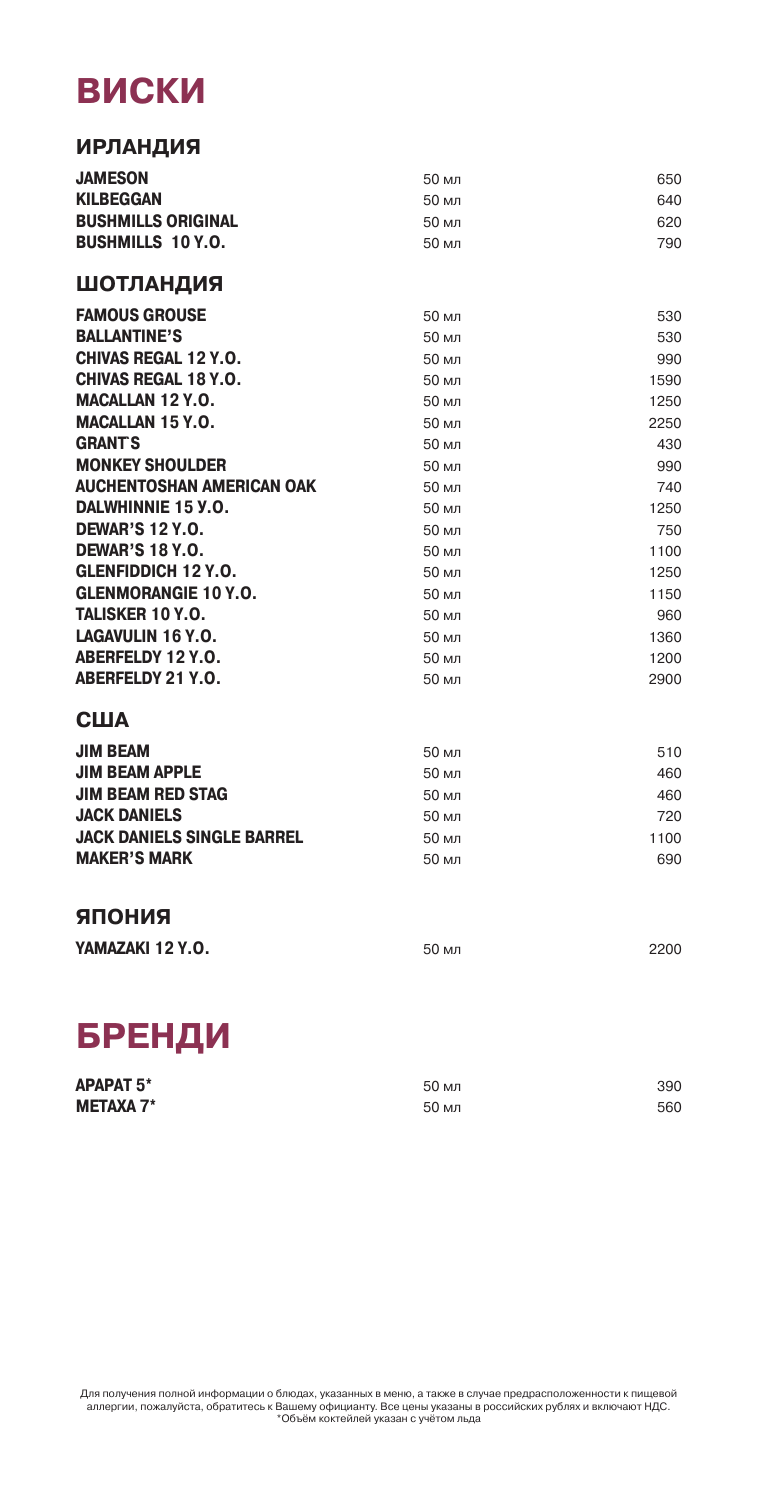### **ВИСКИ**

| <b>ИРЛАНДИЯ</b>                   |       |      |
|-----------------------------------|-------|------|
| <b>JAMESON</b>                    | 50 мл | 650  |
| <b>KILBEGGAN</b>                  | 50 мл | 640  |
| <b>BUSHMILLS ORIGINAL</b>         | 50 мл | 620  |
| <b>BUSHMILLS 10 Y.O.</b>          | 50 мл | 790  |
| <b>ШОТЛАНДИЯ</b>                  |       |      |
| <b>FAMOUS GROUSE</b>              | 50 мл | 530  |
| <b>BALLANTINE'S</b>               | 50 мл | 530  |
| <b>CHIVAS REGAL 12 Y.O.</b>       | 50 мл | 990  |
| <b>CHIVAS REGAL 18 Y.O.</b>       | 50 мл | 1590 |
| <b>MACALLAN 12 Y.O.</b>           | 50 мл | 1250 |
| <b>MACALLAN 15 Y.O.</b>           | 50 мл | 2250 |
| <b>GRANTS</b>                     | 50 мл | 430  |
| <b>MONKEY SHOULDER</b>            | 50 мл | 990  |
| <b>AUCHENTOSHAN AMERICAN OAK</b>  | 50 мл | 740  |
| <b>DALWHINNIE 15 Y.O.</b>         | 50 мл | 1250 |
| <b>DEWAR'S 12 Y.O.</b>            | 50 мл | 750  |
| <b>DEWAR'S 18 Y.O.</b>            | 50 мл | 1100 |
| <b>GLENFIDDICH 12 Y.O.</b>        | 50 мл | 1250 |
| <b>GLENMORANGIE 10 Y.O.</b>       | 50 мл | 1150 |
| TALISKER 10 Y.O.                  | 50 мл | 960  |
| LAGAVULIN 16 Y.O.                 | 50 мл | 1360 |
| <b>ABERFELDY 12 Y.O.</b>          | 50 мл | 1200 |
| <b>ABERFELDY 21 Y.O.</b>          | 50 мл | 2900 |
| США                               |       |      |
| JIM BEAM                          | 50 мл | 510  |
| <b>JIM BEAM APPLE</b>             | 50 мл | 460  |
| <b>JIM BEAM RED STAG</b>          | 50 мл | 460  |
| <b>JACK DANIELS</b>               | 50 мл | 720  |
| <b>JACK DANIELS SINGLE BARREL</b> | 50 мл | 1100 |
| <b>MAKER'S MARK</b>               | 50 мл | 690  |
| ЯПОНИЯ                            |       |      |
| YAMAZAKI 12 Y.O.                  | 50 мл | 2200 |

### **БРЕНДИ**

| <b>APAPAT 5*</b> | 50 мл | 390 |
|------------------|-------|-----|
| <b>METAXA 7*</b> | 50 мл | 560 |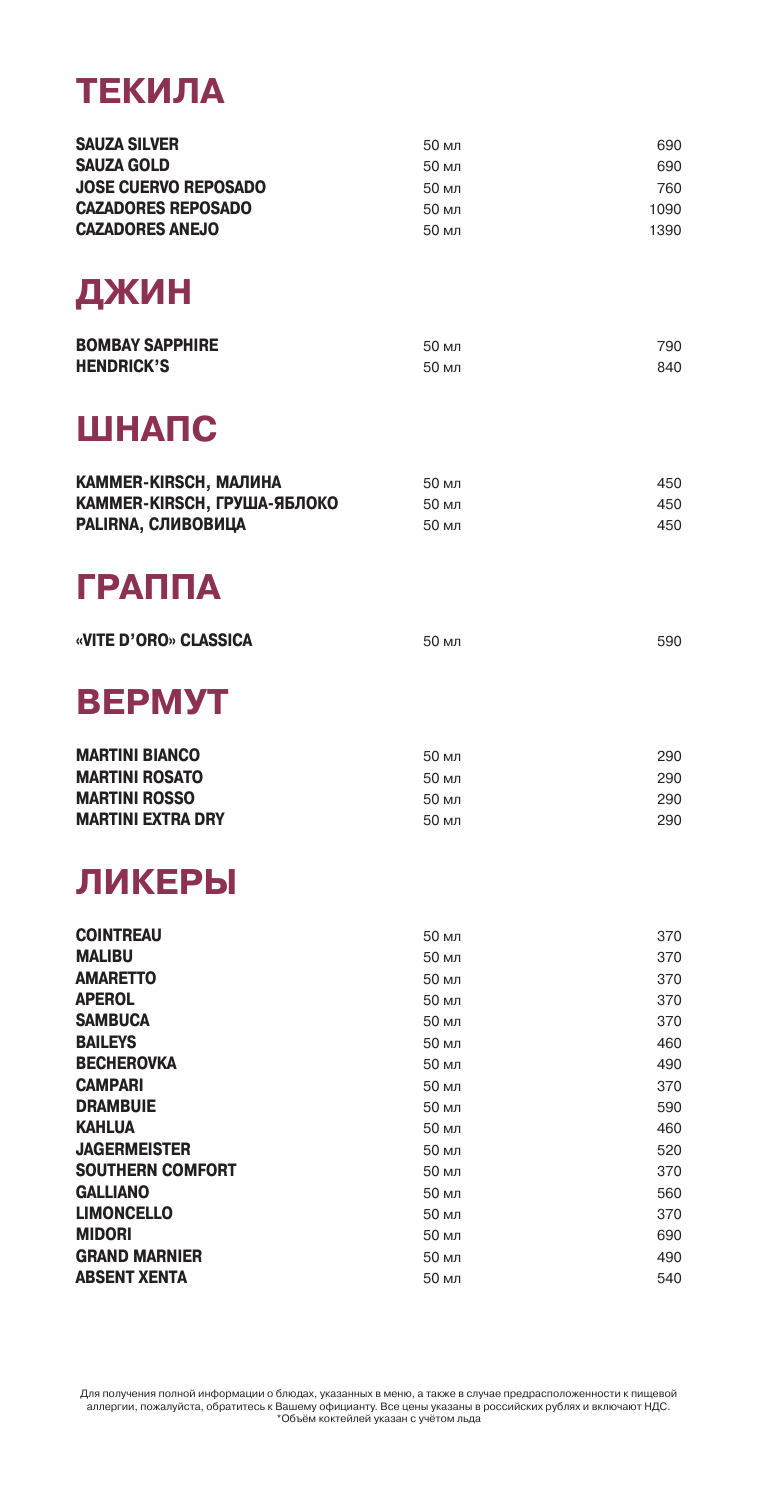### **ТЕКИЛА**

| <b>SAUZA SILVER</b>         | 50 мл | 690  |
|-----------------------------|-------|------|
| <b>SAUZA GOLD</b>           | 50 мл | 690  |
| <b>JOSE CUERVO REPOSADO</b> | 50 мл | 760  |
| <b>CAZADORES REPOSADO</b>   | 50 мл | 1090 |
| <b>CAZADORES ANEJO</b>      | 50 мл | 1390 |
|                             |       |      |
| ДЖИН                        |       |      |

| <b>BOMBAY SAPPHIRE</b> | 50 мл | 790 |
|------------------------|-------|-----|
| <b>HENDRICK'S</b>      | 50 мл | 840 |

### **ШНАПС**

| <b>КАММER-KIRSCH, МАЛИНА</b>       | 50 мл | 450. |
|------------------------------------|-------|------|
| <b>КАММЕR-КIRSCH, ГРУША-ЯБЛОКО</b> | 50 мл | 450  |
| PALIRNA, СЛИВОВИЦА                 | 50 мл | 450  |

### **ГРАППА**

| «VITE D'ORO» CLASSICA | 50 мл | 590 |
|-----------------------|-------|-----|
|                       |       |     |

### **ВЕРМУТ**

| <b>MARTINI BIANCO</b>    | 50 мл | 290 |
|--------------------------|-------|-----|
| <b>MARTINI ROSATO</b>    | 50 мл | 290 |
| <b>MARTINI ROSSO</b>     | 50 мл | 290 |
| <b>MARTINI EXTRA DRY</b> | 50 мл | 290 |

### **ЛИКЕРЫ**

| <b>COINTREAU</b>        | 50 мл | 370 |
|-------------------------|-------|-----|
| <b>MALIBU</b>           | 50 мл | 370 |
| <b>AMARETTO</b>         | 50 мл | 370 |
| <b>APEROL</b>           | 50 мл | 370 |
| <b>SAMBUCA</b>          | 50 мл | 370 |
| <b>BAILEYS</b>          | 50 мл | 460 |
| <b>BECHEROVKA</b>       | 50 мл | 490 |
| <b>CAMPARI</b>          | 50 мл | 370 |
| <b>DRAMBUIE</b>         | 50 мл | 590 |
| <b>KAHLUA</b>           | 50 мл | 460 |
| <b>JAGERMEISTER</b>     | 50 мл | 520 |
| <b>SOUTHERN COMFORT</b> | 50 мл | 370 |
| <b>GALLIANO</b>         | 50 мл | 560 |
| <b>LIMONCELLO</b>       | 50 мл | 370 |
| <b>MIDORI</b>           | 50 мл | 690 |
| <b>GRAND MARNIER</b>    | 50 мл | 490 |
| <b>ABSENT XENTA</b>     | 50 мл | 540 |
|                         |       |     |

Для получения полной информации о блюдах, указанных в меню, а также в случае предрасположенности к пищевой<br>аллергии, пожалуйста, обратитесь к Вашему официанту. Все цены указаны в российских рублях и включают НДС.<br>Мобей мо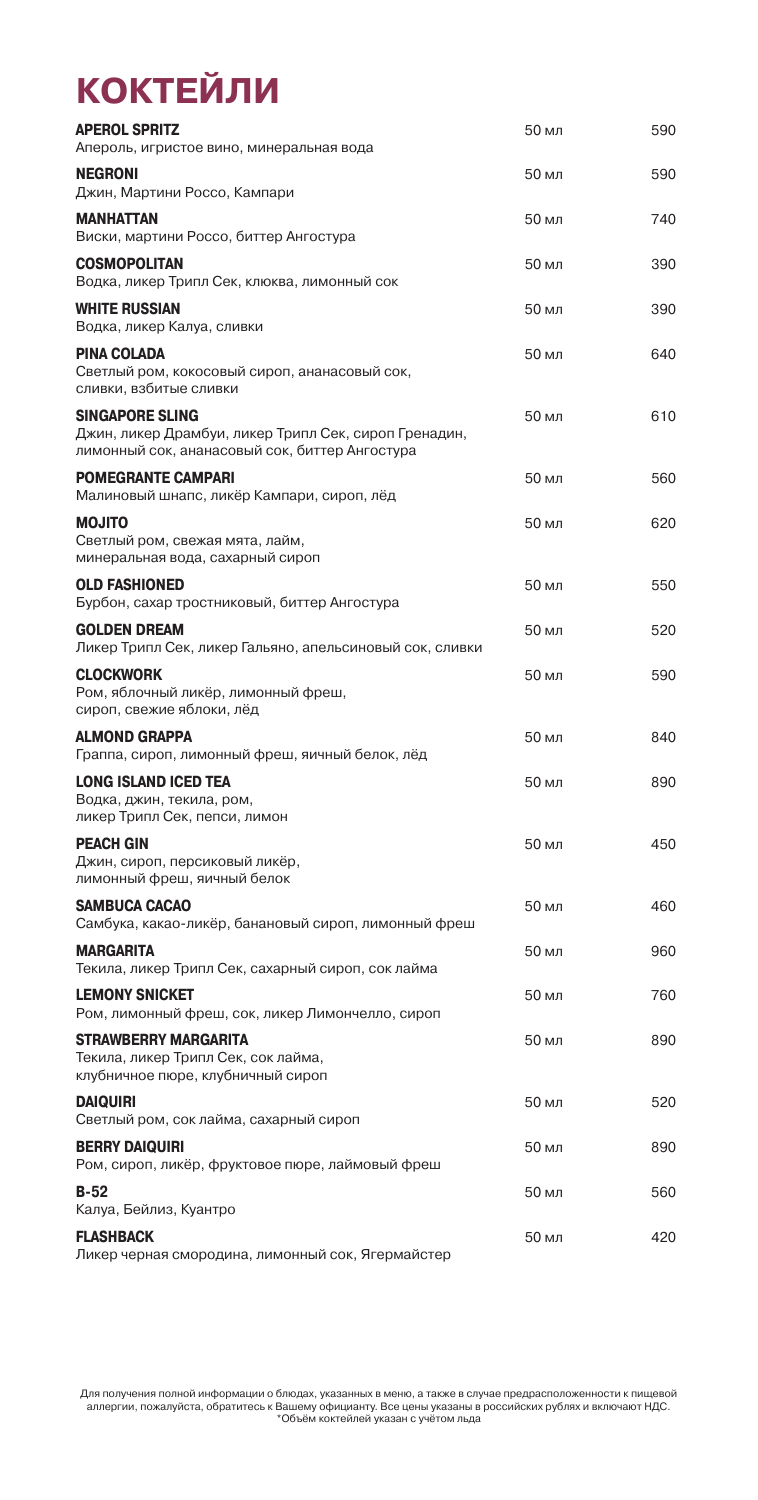# **КОКТЕЙЛИ**

| <b>APEROL SPRITZ</b><br>Апероль, игристое вино, минеральная вода                                                                  | 50 мл | 590 |
|-----------------------------------------------------------------------------------------------------------------------------------|-------|-----|
| <b>NEGRONI</b><br>Джин, Мартини Россо, Кампари                                                                                    | 50 мл | 590 |
| <b>MANHATTAN</b><br>Виски, мартини Россо, биттер Ангостура                                                                        | 50 мл | 740 |
| <b>COSMOPOLITAN</b><br>Водка, ликер Трипл Сек, клюква, лимонный сок                                                               | 50 мл | 390 |
| <b>WHITE RUSSIAN</b><br>Водка, ликер Калуа, сливки                                                                                | 50 мл | 390 |
| PINA COLADA<br>Светлый ром, кокосовый сироп, ананасовый сок,<br>сливки, взбитые сливки                                            | 50 мл | 640 |
| <b>SINGAPORE SLING</b><br>Джин, ликер Драмбуи, ликер Трипл Сек, сироп Гренадин,<br>лимонный сок, ананасовый сок, биттер Ангостура | 50 мл | 610 |
| <b>POMEGRANTE CAMPARI</b><br>Малиновый шнапс, ликёр Кампари, сироп, лёд                                                           | 50 мл | 560 |
| <b>MOJITO</b><br>Светлый ром, свежая мята, лайм,<br>минеральная вода, сахарный сироп                                              | 50 мл | 620 |
| <b>OLD FASHIONED</b><br>Бурбон, сахар тростниковый, биттер Ангостура                                                              | 50 мл | 550 |
| <b>GOLDEN DREAM</b><br>Ликер Трипл Сек, ликер Гальяно, апельсиновый сок, сливки                                                   | 50 мл | 520 |
| <b>CLOCKWORK</b><br>Ром, яблочный ликёр, лимонный фреш,<br>сироп, свежие яблоки, лёд                                              | 50 мл | 590 |
| <b>ALMOND GRAPPA</b><br>Граппа, сироп, лимонный фреш, яичный белок, лёд                                                           | 50 мл | 840 |
| <b>LONG ISLAND ICED TEA</b><br>Водка, джин, текила, ром,<br>ликер Трипл Сек, пепси, лимон                                         | 50 мл | 890 |
| <b>PEACH GIN</b><br>Джин, сироп, персиковый ликёр,<br>лимонный фреш, яичный белок                                                 | 50 мл | 450 |
| <b>SAMBUCA CACAO</b><br>Самбука, какао-ликёр, банановый сироп, лимонный фреш                                                      | 50 мл | 460 |
| <b>MARGARITA</b><br>Текила, ликер Трипл Сек, сахарный сироп, сок лайма                                                            | 50 мл | 960 |
| <b>LEMONY SNICKET</b><br>Ром, лимонный фреш, сок, ликер Лимончелло, сироп                                                         | 50 мл | 760 |
| <b>STRAWBERRY MARGARITA</b><br>Текила, ликер Трипл Сек, сок лайма,<br>клубничное пюре, клубничный сироп                           | 50 мл | 890 |
| <b>DAIQUIRI</b><br>Светлый ром, сок лайма, сахарный сироп                                                                         | 50 мл | 520 |
| <b>BERRY DAIQUIRI</b><br>Ром, сироп, ликёр, фруктовое пюре, лаймовый фреш                                                         | 50 мл | 890 |
| <b>B-52</b><br>Калуа, Бейлиз, Куантро                                                                                             | 50 мл | 560 |
| FLASHBACK<br>Ликер черная смородина, лимонный сок, Ягермайстер                                                                    | 50 мл | 420 |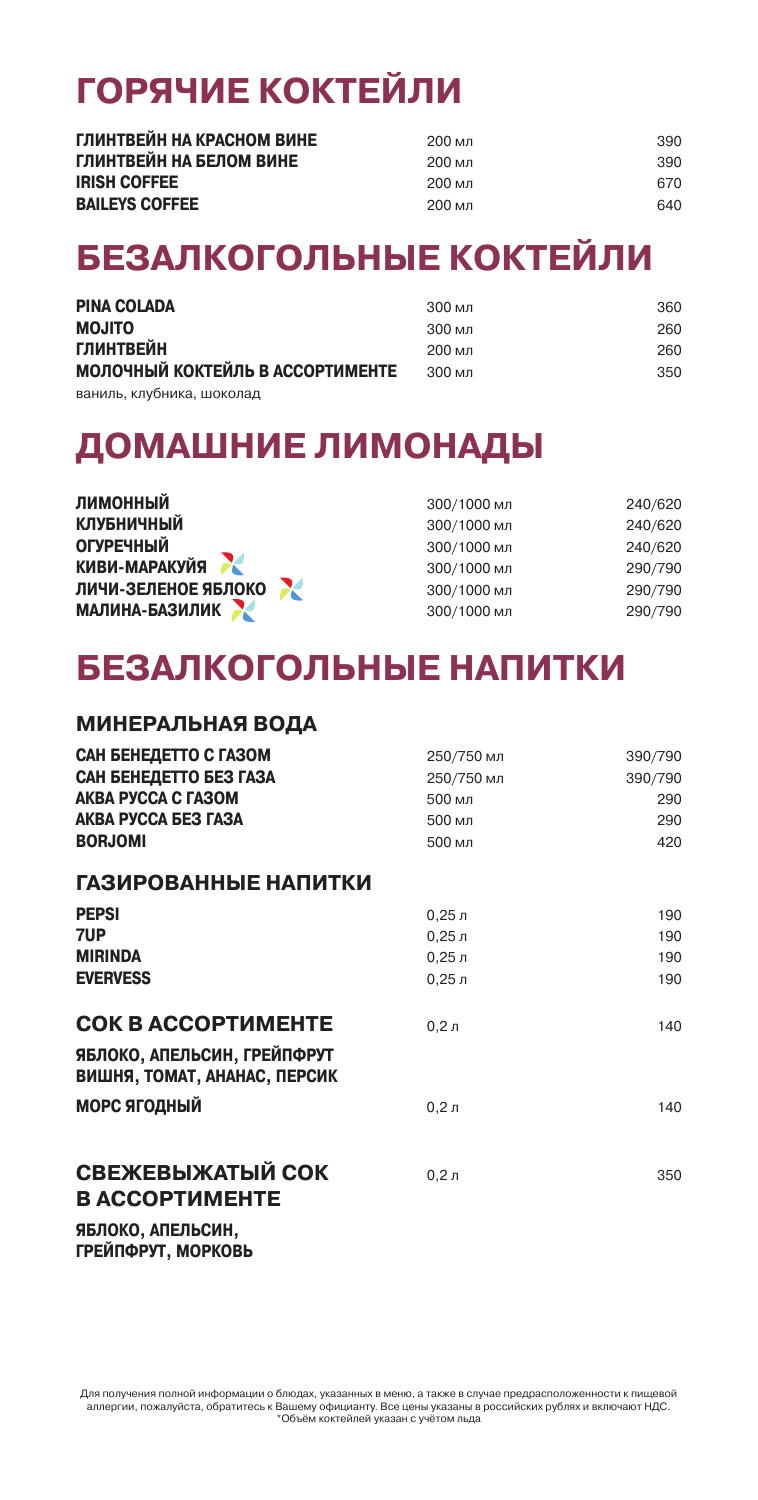# **ГОРЯЧИЕ КОКТЕЙЛИ**

| ГЛИНТВЕЙН НА КРАСНОМ ВИНЕ | 200 мл | 390 |
|---------------------------|--------|-----|
| ГЛИНТВЕЙН НА БЕЛОМ ВИНЕ   | 200 мл | 390 |
| <b>IRISH COFFEE</b>       | 200 мл | 670 |
| <b>BAILEYS COFFEE</b>     | 200 мл | 640 |

## **БЕЗАЛКОГОЛЬНЫЕ КОКТЕЙЛИ**

| <b>PINA COLADA</b>               | 300 мл            | 360 |
|----------------------------------|-------------------|-----|
| <b>MOJITO</b>                    | 300 мл            | 260 |
| <b>ГЛИНТВЕЙН</b>                 | 200 мл            | 260 |
| МОЛОЧНЫЙ КОКТЕЙЛЬ В АССОРТИМЕНТЕ | $300 \text{ м}$ л | 350 |
| ваниль, клубника, шоколад        |                   |     |

### **ДОМАШНИЕ ЛИМОНАДЫ**

| ЛИМОННЫЙ                 | 300/1000 мл | 240/620 |
|--------------------------|-------------|---------|
| <b>КЛУБНИЧНЫЙ</b>        | 300/1000 мл | 240/620 |
| <b>ОГУРЕЧНЫЙ</b>         | 300/1000 мл | 240/620 |
| КИВИ-МАРАКУЙЯ            | 300/1000 мл | 290/790 |
| X<br>ЛИЧИ-ЗЕЛЕНОЕ ЯБЛОКО | 300/1000 мл | 290/790 |
| <b>МАЛИНА-БАЗИЛИК</b>    | 300/1000 мл | 290/790 |

### **БЕЗАЛКОГОЛЬНЫЕ НАПИТКИ**

#### **МИНЕРАЛЬНАЯ ВОДА**

| САН БЕНЕДЕТТО С ГАЗОМ<br>САН БЕНЕДЕТТО БЕЗ ГАЗА<br><b>AKBA PYCCA C FA30M</b><br><b>AKBA PYCCA BE3 FA3A</b><br><b>BORJOMI</b> | 250/750 мл<br>250/750 мл<br>500 мл<br>500 мл<br>500 мл                  | 390/790<br>390/790<br>290<br>290<br>420 |
|------------------------------------------------------------------------------------------------------------------------------|-------------------------------------------------------------------------|-----------------------------------------|
| ГАЗИРОВАННЫЕ НАПИТКИ                                                                                                         |                                                                         |                                         |
| <b>PEPSI</b><br>7UP<br><b>MIRINDA</b><br><b>EVERVESS</b>                                                                     | 0.25 <sub>π</sub><br>0.25 <sub>π</sub><br>$0,25$ л<br>0.25 <sub>π</sub> | 190<br>190<br>190<br>190                |
| <b>COK B ACCOPTIMEHTE</b><br>ЯБЛОКО, АПЕЛЬСИН, ГРЕЙПФРУТ<br>ВИШНЯ, ТОМАТ, АНАНАС, ПЕРСИК                                     | 0.2n                                                                    | 140                                     |
| <b>МОРС ЯГОДНЫЙ</b>                                                                                                          | 0.2 <sub>π</sub>                                                        | 140                                     |
| СВЕЖЕВЫЖАТЫЙ СОК<br><b>B ACCOPTIMEHTE</b><br><b>GEBAVA ABEBI AUU</b>                                                         | 0.2n                                                                    | 350                                     |

**ЯБЛОКО, АПЕЛЬСИН, ГРЕЙПФРУТ, МОРКОВЬ**